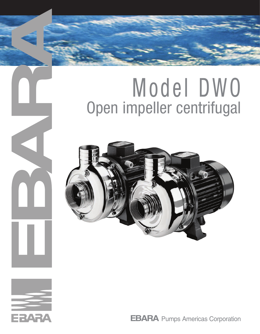# Model DWO Open impeller centrifugal





 $\overline{\mathbf{a}}$ 

**EBARA** Pumps Americas Corporation